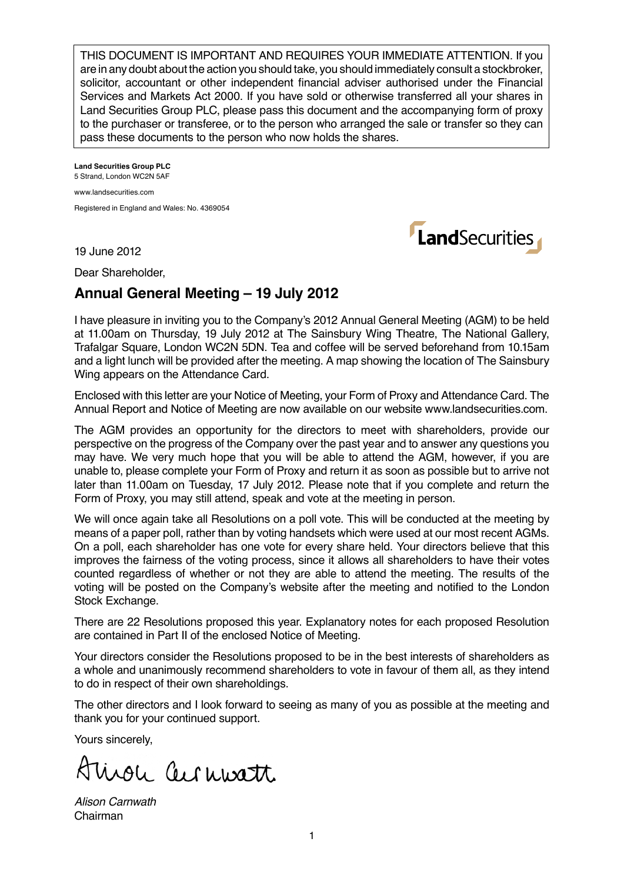THIS DOCUMENT IS IMPORTANT AND REQUIRES YOUR IMMEDIATE ATTENTION. If you are in any doubt about the action you should take, you should immediately consult a stockbroker, solicitor, accountant or other independent financial adviser authorised under the Financial Services and Markets Act 2000. If you have sold or otherwise transferred all your shares in Land Securities Group PLC, please pass this document and the accompanying form of proxy to the purchaser or transferee, or to the person who arranged the sale or transfer so they can pass these documents to the person who now holds the shares.

**Land Securities Group PLC** 5 Strand, London WC2N 5AF www.landsecurities.com Registered in England and Wales: No. 4369054

LandSecurities

19 June 2012

Dear Shareholder,

## **Annual General Meeting – 19 July 2012**

I have pleasure in inviting you to the Company's 2012 Annual General Meeting (AGM) to be held at 11.00am on Thursday, 19 July 2012 at The Sainsbury Wing Theatre, The National Gallery, Trafalgar Square, London WC2N 5DN. Tea and coffee will be served beforehand from 10.15am and a light lunch will be provided after the meeting. A map showing the location of The Sainsbury Wing appears on the Attendance Card.

Enclosed with this letter are your Notice of Meeting, your Form of Proxy and Attendance Card. The Annual Report and Notice of Meeting are now available on our website www.landsecurities.com.

The AGM provides an opportunity for the directors to meet with shareholders, provide our perspective on the progress of the Company over the past year and to answer any questions you may have. We very much hope that you will be able to attend the AGM, however, if you are unable to, please complete your Form of Proxy and return it as soon as possible but to arrive not later than 11.00am on Tuesday, 17 July 2012. Please note that if you complete and return the Form of Proxy, you may still attend, speak and vote at the meeting in person.

We will once again take all Resolutions on a poll vote. This will be conducted at the meeting by means of a paper poll, rather than by voting handsets which were used at our most recent AGMs. On a poll, each shareholder has one vote for every share held. Your directors believe that this improves the fairness of the voting process, since it allows all shareholders to have their votes counted regardless of whether or not they are able to attend the meeting. The results of the voting will be posted on the Company's website after the meeting and notified to the London Stock Exchange.

There are 22 Resolutions proposed this year. Explanatory notes for each proposed Resolution are contained in Part II of the enclosed Notice of Meeting.

Your directors consider the Resolutions proposed to be in the best interests of shareholders as a whole and unanimously recommend shareholders to vote in favour of them all, as they intend to do in respect of their own shareholdings.

The other directors and I look forward to seeing as many of you as possible at the meeting and thank you for your continued support.

Yours sincerely,

Alivon auronatt

*Alison Carnwath* Chairman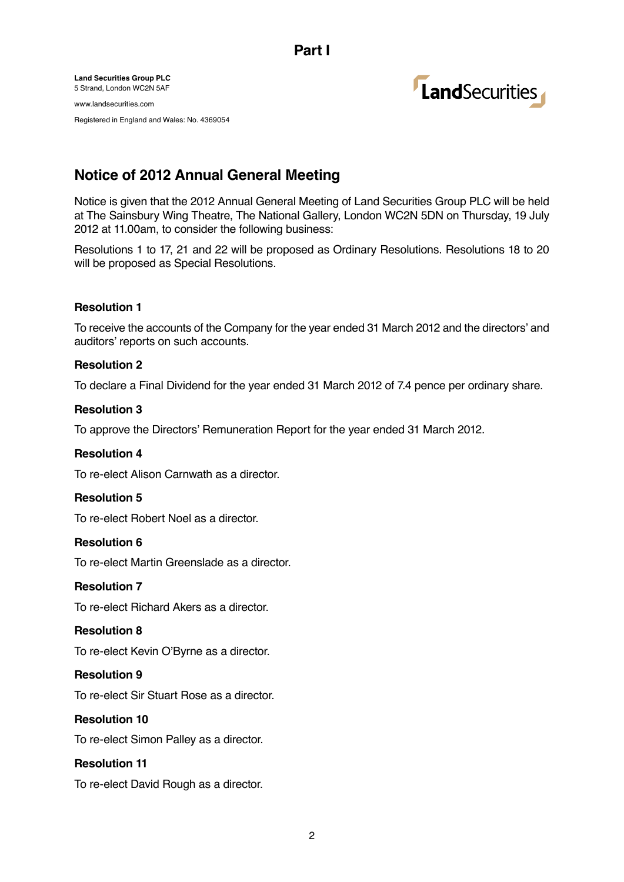

**Land Securities Group PLC** 5 Strand, London WC2N 5AF www.landsecurities.com

Registered in England and Wales: No. 4369054



# **Notice of 2012 Annual General Meeting**

Notice is given that the 2012 Annual General Meeting of Land Securities Group PLC will be held at The Sainsbury Wing Theatre, The National Gallery, London WC2N 5DN on Thursday, 19 July 2012 at 11.00am, to consider the following business:

Resolutions 1 to 17, 21 and 22 will be proposed as Ordinary Resolutions. Resolutions 18 to 20 will be proposed as Special Resolutions.

## **Resolution 1**

To receive the accounts of the Company for the year ended 31 March 2012 and the directors' and auditors' reports on such accounts.

#### **Resolution 2**

To declare a Final Dividend for the year ended 31 March 2012 of 7.4 pence per ordinary share.

#### **Resolution 3**

To approve the Directors' Remuneration Report for the year ended 31 March 2012.

#### **Resolution 4**

To re-elect Alison Carnwath as a director.

#### **Resolution 5**

To re-elect Robert Noel as a director.

#### **Resolution 6**

To re-elect Martin Greenslade as a director.

#### **Resolution 7**

To re-elect Richard Akers as a director.

#### **Resolution 8**

To re-elect Kevin O'Byrne as a director.

#### **Resolution 9**

To re-elect Sir Stuart Rose as a director.

#### **Resolution 10**

To re-elect Simon Palley as a director.

#### **Resolution 11**

To re-elect David Rough as a director.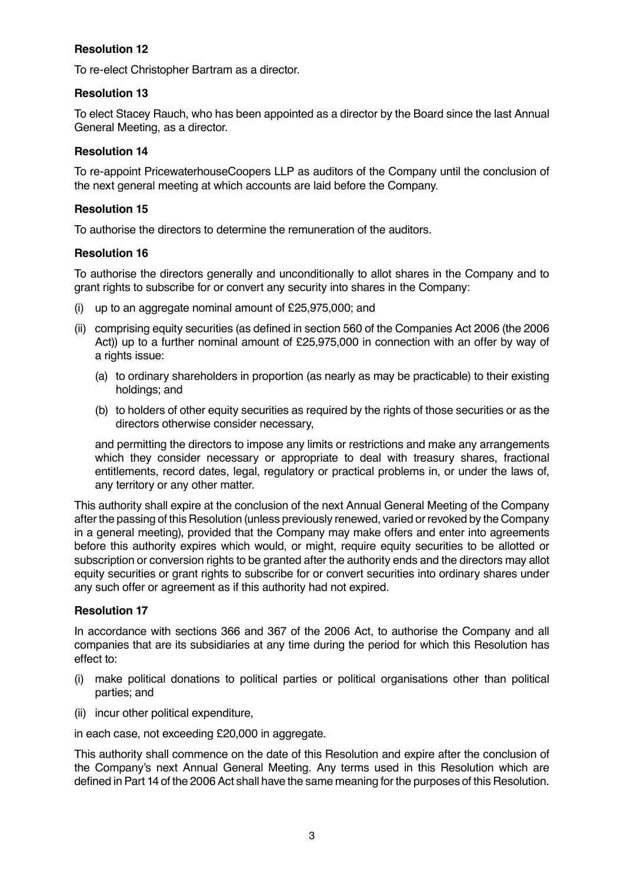## **Resolution 12**

To re-elect Christopher Bartram as a director.

#### **Resolution 13**

To elect Stacey Rauch, who has been appointed as a director by the Board since the last Annual General Meeting, as a director.

#### **Resolution 14**

To re-appoint PricewaterhouseCoopers LLP as auditors of the Company until the conclusion of the next general meeting at which accounts are laid before the Company.

#### **Resolution 15**

To authorise the directors to determine the remuneration of the auditors.

#### **Resolution 16**

To authorise the directors generally and unconditionally to allot shares in the Company and to grant rights to subscribe for or convert any security into shares in the Company:

- (i) up to an aggregate nominal amount of £25,975,000; and
- (ii) comprising equity securities (as defined in section 560 of the Companies Act 2006 (the 2006 Act)) up to a further nominal amount of £25,975,000 in connection with an offer by way of a rights issue:
	- (a) to ordinary shareholders in proportion (as nearly as may be practicable) to their existing holdings; and
	- (b) to holders of other equity securities as required by the rights of those securities or as the directors otherwise consider necessary,

 and permitting the directors to impose any limits or restrictions and make any arrangements which they consider necessary or appropriate to deal with treasury shares, fractional entitlements, record dates, legal, regulatory or practical problems in, or under the laws of, any territory or any other matter.

This authority shall expire at the conclusion of the next Annual General Meeting of the Company after the passing of this Resolution (unless previously renewed, varied or revoked by the Company in a general meeting), provided that the Company may make offers and enter into agreements before this authority expires which would, or might, require equity securities to be allotted or subscription or conversion rights to be granted after the authority ends and the directors may allot equity securities or grant rights to subscribe for or convert securities into ordinary shares under any such offer or agreement as if this authority had not expired.

#### **Resolution 17**

In accordance with sections 366 and 367 of the 2006 Act, to authorise the Company and all companies that are its subsidiaries at any time during the period for which this Resolution has effect to:

- (i) make political donations to political parties or political organisations other than political parties; and
- (ii) incur other political expenditure,

in each case, not exceeding £20,000 in aggregate.

This authority shall commence on the date of this Resolution and expire after the conclusion of the Company's next Annual General Meeting. Any terms used in this Resolution which are defined in Part 14 of the 2006 Act shall have the same meaning for the purposes of this Resolution.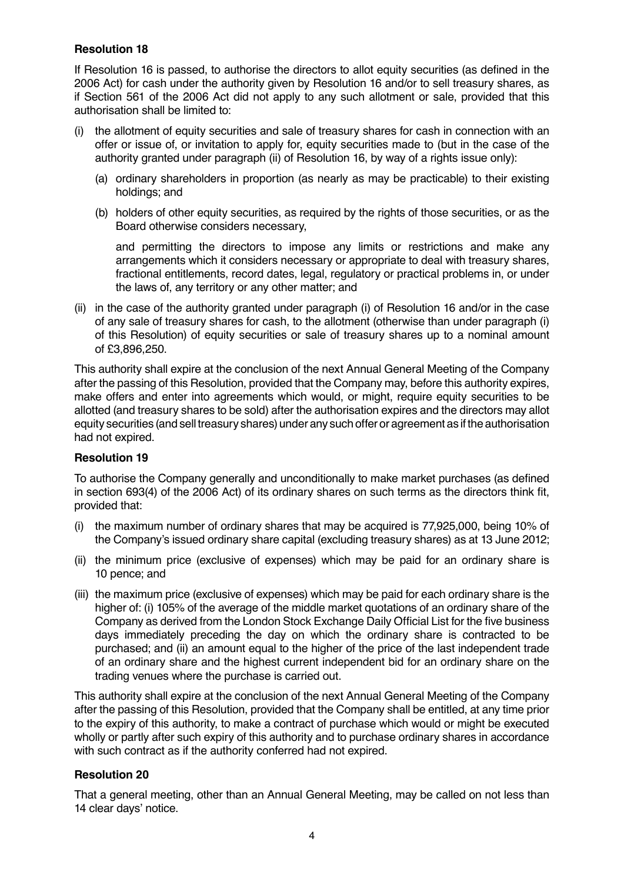## **Resolution 18**

If Resolution 16 is passed, to authorise the directors to allot equity securities (as defined in the 2006 Act) for cash under the authority given by Resolution 16 and/or to sell treasury shares, as if Section 561 of the 2006 Act did not apply to any such allotment or sale, provided that this authorisation shall be limited to:

- (i) the allotment of equity securities and sale of treasury shares for cash in connection with an offer or issue of, or invitation to apply for, equity securities made to (but in the case of the authority granted under paragraph (ii) of Resolution 16, by way of a rights issue only):
	- (a) ordinary shareholders in proportion (as nearly as may be practicable) to their existing holdings; and
	- (b) holders of other equity securities, as required by the rights of those securities, or as the Board otherwise considers necessary,

 and permitting the directors to impose any limits or restrictions and make any arrangements which it considers necessary or appropriate to deal with treasury shares, fractional entitlements, record dates, legal, regulatory or practical problems in, or under the laws of, any territory or any other matter; and

(ii) in the case of the authority granted under paragraph (i) of Resolution 16 and/or in the case of any sale of treasury shares for cash, to the allotment (otherwise than under paragraph (i) of this Resolution) of equity securities or sale of treasury shares up to a nominal amount of £3,896,250.

This authority shall expire at the conclusion of the next Annual General Meeting of the Company after the passing of this Resolution, provided that the Company may, before this authority expires, make offers and enter into agreements which would, or might, require equity securities to be allotted (and treasury shares to be sold) after the authorisation expires and the directors may allot equity securities (and sell treasury shares) under any such offer or agreement as if the authorisation had not expired.

#### **Resolution 19**

To authorise the Company generally and unconditionally to make market purchases (as defined in section 693(4) of the 2006 Act) of its ordinary shares on such terms as the directors think fit, provided that:

- (i) the maximum number of ordinary shares that may be acquired is 77,925,000, being 10% of the Company's issued ordinary share capital (excluding treasury shares) as at 13 June 2012;
- (ii) the minimum price (exclusive of expenses) which may be paid for an ordinary share is 10 pence; and
- (iii) the maximum price (exclusive of expenses) which may be paid for each ordinary share is the higher of: (i) 105% of the average of the middle market quotations of an ordinary share of the Company as derived from the London Stock Exchange Daily Official List for the five business days immediately preceding the day on which the ordinary share is contracted to be purchased; and (ii) an amount equal to the higher of the price of the last independent trade of an ordinary share and the highest current independent bid for an ordinary share on the trading venues where the purchase is carried out.

This authority shall expire at the conclusion of the next Annual General Meeting of the Company after the passing of this Resolution, provided that the Company shall be entitled, at any time prior to the expiry of this authority, to make a contract of purchase which would or might be executed wholly or partly after such expiry of this authority and to purchase ordinary shares in accordance with such contract as if the authority conferred had not expired.

#### **Resolution 20**

That a general meeting, other than an Annual General Meeting, may be called on not less than 14 clear days' notice.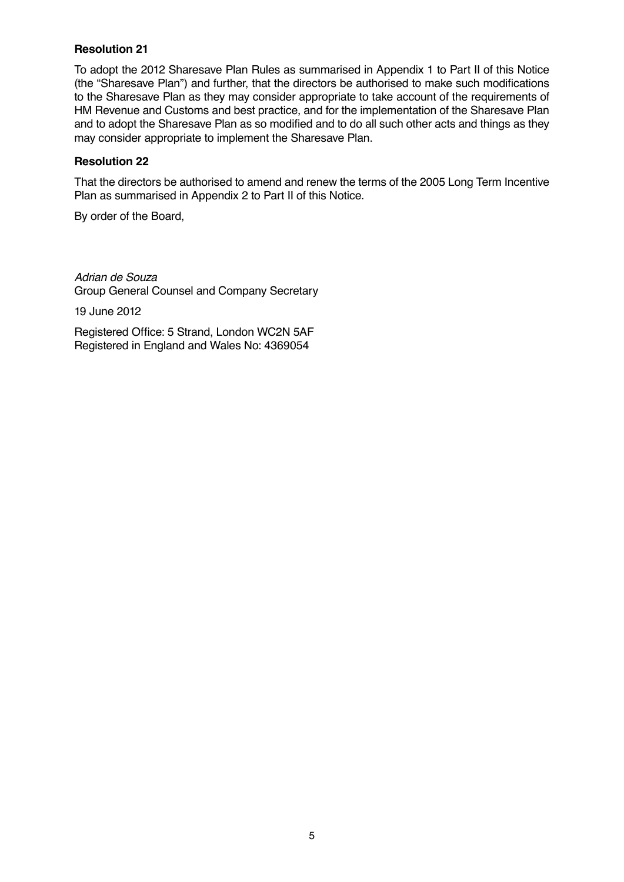## **Resolution 21**

To adopt the 2012 Sharesave Plan Rules as summarised in Appendix 1 to Part II of this Notice (the "Sharesave Plan") and further, that the directors be authorised to make such modifications to the Sharesave Plan as they may consider appropriate to take account of the requirements of HM Revenue and Customs and best practice, and for the implementation of the Sharesave Plan and to adopt the Sharesave Plan as so modified and to do all such other acts and things as they may consider appropriate to implement the Sharesave Plan.

#### **Resolution 22**

That the directors be authorised to amend and renew the terms of the 2005 Long Term Incentive Plan as summarised in Appendix 2 to Part II of this Notice.

By order of the Board,

*Adrian de Souza* Group General Counsel and Company Secretary

19 June 2012

Registered Office: 5 Strand, London WC2N 5AF Registered in England and Wales No: 4369054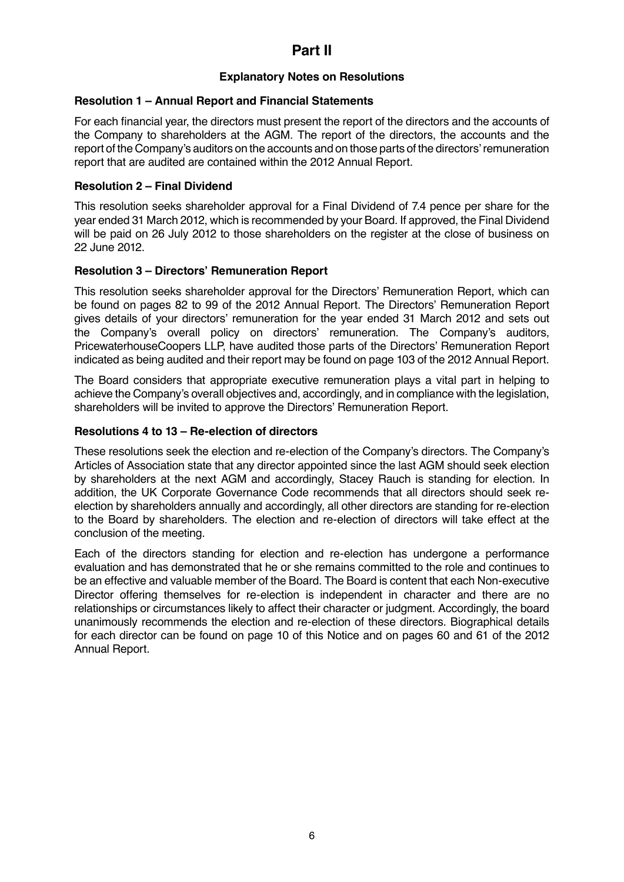# **Part II**

## **Explanatory Notes on Resolutions**

## **Resolution 1 – Annual Report and Financial Statements**

For each financial year, the directors must present the report of the directors and the accounts of the Company to shareholders at the AGM. The report of the directors, the accounts and the report of the Company's auditors on the accounts and on those parts of the directors' remuneration report that are audited are contained within the 2012 Annual Report.

## **Resolution 2 – Final Dividend**

This resolution seeks shareholder approval for a Final Dividend of 7.4 pence per share for the year ended 31 March 2012, which is recommended by your Board. If approved, the Final Dividend will be paid on 26 July 2012 to those shareholders on the register at the close of business on 22 June 2012.

## **Resolution 3 – Directors' Remuneration Report**

This resolution seeks shareholder approval for the Directors' Remuneration Report, which can be found on pages 82 to 99 of the 2012 Annual Report. The Directors' Remuneration Report gives details of your directors' remuneration for the year ended 31 March 2012 and sets out the Company's overall policy on directors' remuneration. The Company's auditors, PricewaterhouseCoopers LLP, have audited those parts of the Directors' Remuneration Report indicated as being audited and their report may be found on page 103 of the 2012 Annual Report.

The Board considers that appropriate executive remuneration plays a vital part in helping to achieve the Company's overall objectives and, accordingly, and in compliance with the legislation, shareholders will be invited to approve the Directors' Remuneration Report.

## **Resolutions 4 to 13 – Re-election of directors**

These resolutions seek the election and re-election of the Company's directors. The Company's Articles of Association state that any director appointed since the last AGM should seek election by shareholders at the next AGM and accordingly, Stacey Rauch is standing for election. In addition, the UK Corporate Governance Code recommends that all directors should seek reelection by shareholders annually and accordingly, all other directors are standing for re-election to the Board by shareholders. The election and re-election of directors will take effect at the conclusion of the meeting.

Each of the directors standing for election and re-election has undergone a performance evaluation and has demonstrated that he or she remains committed to the role and continues to be an effective and valuable member of the Board. The Board is content that each Non-executive Director offering themselves for re-election is independent in character and there are no relationships or circumstances likely to affect their character or judgment. Accordingly, the board unanimously recommends the election and re-election of these directors. Biographical details for each director can be found on page 10 of this Notice and on pages 60 and 61 of the 2012 Annual Report.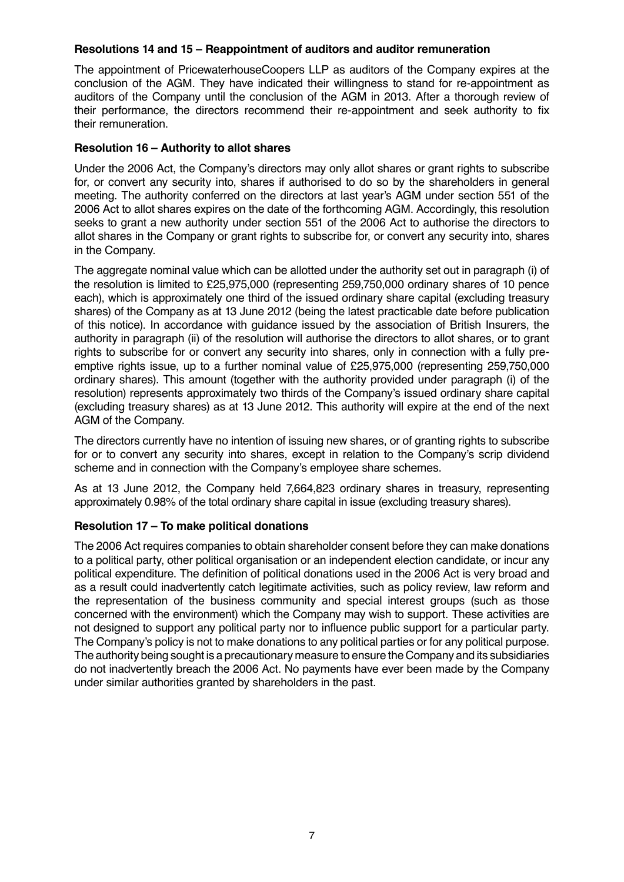## **Resolutions 14 and 15 – Reappointment of auditors and auditor remuneration**

The appointment of PricewaterhouseCoopers LLP as auditors of the Company expires at the conclusion of the AGM. They have indicated their willingness to stand for re-appointment as auditors of the Company until the conclusion of the AGM in 2013. After a thorough review of their performance, the directors recommend their re-appointment and seek authority to fix their remuneration.

#### **Resolution 16 – Authority to allot shares**

Under the 2006 Act, the Company's directors may only allot shares or grant rights to subscribe for, or convert any security into, shares if authorised to do so by the shareholders in general meeting. The authority conferred on the directors at last year's AGM under section 551 of the 2006 Act to allot shares expires on the date of the forthcoming AGM. Accordingly, this resolution seeks to grant a new authority under section 551 of the 2006 Act to authorise the directors to allot shares in the Company or grant rights to subscribe for, or convert any security into, shares in the Company.

The aggregate nominal value which can be allotted under the authority set out in paragraph (i) of the resolution is limited to £25,975,000 (representing 259,750,000 ordinary shares of 10 pence each), which is approximately one third of the issued ordinary share capital (excluding treasury shares) of the Company as at 13 June 2012 (being the latest practicable date before publication of this notice). In accordance with guidance issued by the association of British Insurers, the authority in paragraph (ii) of the resolution will authorise the directors to allot shares, or to grant rights to subscribe for or convert any security into shares, only in connection with a fully preemptive rights issue, up to a further nominal value of £25,975,000 (representing 259,750,000 ordinary shares). This amount (together with the authority provided under paragraph (i) of the resolution) represents approximately two thirds of the Company's issued ordinary share capital (excluding treasury shares) as at 13 June 2012. This authority will expire at the end of the next AGM of the Company.

The directors currently have no intention of issuing new shares, or of granting rights to subscribe for or to convert any security into shares, except in relation to the Company's scrip dividend scheme and in connection with the Company's employee share schemes.

As at 13 June 2012, the Company held 7,664,823 ordinary shares in treasury, representing approximately 0.98% of the total ordinary share capital in issue (excluding treasury shares).

## **Resolution 17 – To make political donations**

The 2006 Act requires companies to obtain shareholder consent before they can make donations to a political party, other political organisation or an independent election candidate, or incur any political expenditure. The definition of political donations used in the 2006 Act is very broad and as a result could inadvertently catch legitimate activities, such as policy review, law reform and the representation of the business community and special interest groups (such as those concerned with the environment) which the Company may wish to support. These activities are not designed to support any political party nor to influence public support for a particular party. The Company's policy is not to make donations to any political parties or for any political purpose. The authority being sought is a precautionary measure to ensure the Company and its subsidiaries do not inadvertently breach the 2006 Act. No payments have ever been made by the Company under similar authorities granted by shareholders in the past.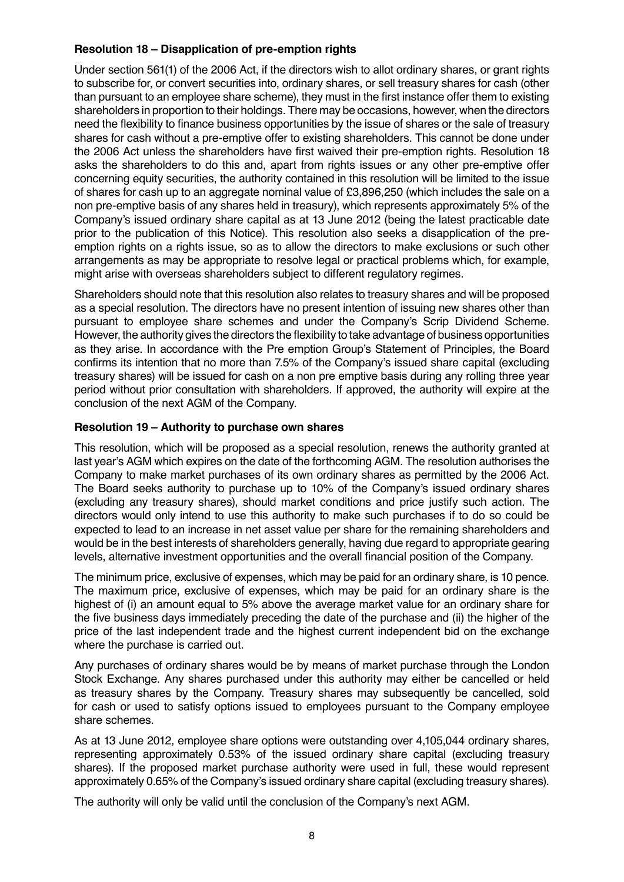## **Resolution 18 – Disapplication of pre-emption rights**

Under section 561(1) of the 2006 Act, if the directors wish to allot ordinary shares, or grant rights to subscribe for, or convert securities into, ordinary shares, or sell treasury shares for cash (other than pursuant to an employee share scheme), they must in the first instance offer them to existing shareholders in proportion to their holdings. There may be occasions, however, when the directors need the flexibility to finance business opportunities by the issue of shares or the sale of treasury shares for cash without a pre-emptive offer to existing shareholders. This cannot be done under the 2006 Act unless the shareholders have first waived their pre-emption rights. Resolution 18 asks the shareholders to do this and, apart from rights issues or any other pre-emptive offer concerning equity securities, the authority contained in this resolution will be limited to the issue of shares for cash up to an aggregate nominal value of £3,896,250 (which includes the sale on a non pre-emptive basis of any shares held in treasury), which represents approximately 5% of the Company's issued ordinary share capital as at 13 June 2012 (being the latest practicable date prior to the publication of this Notice). This resolution also seeks a disapplication of the preemption rights on a rights issue, so as to allow the directors to make exclusions or such other arrangements as may be appropriate to resolve legal or practical problems which, for example, might arise with overseas shareholders subject to different regulatory regimes.

Shareholders should note that this resolution also relates to treasury shares and will be proposed as a special resolution. The directors have no present intention of issuing new shares other than pursuant to employee share schemes and under the Company's Scrip Dividend Scheme. However, the authority gives the directors the flexibility to take advantage of business opportunities as they arise. In accordance with the Pre emption Group's Statement of Principles, the Board confirms its intention that no more than 7.5% of the Company's issued share capital (excluding treasury shares) will be issued for cash on a non pre emptive basis during any rolling three year period without prior consultation with shareholders. If approved, the authority will expire at the conclusion of the next AGM of the Company.

#### **Resolution 19 – Authority to purchase own shares**

This resolution, which will be proposed as a special resolution, renews the authority granted at last year's AGM which expires on the date of the forthcoming AGM. The resolution authorises the Company to make market purchases of its own ordinary shares as permitted by the 2006 Act. The Board seeks authority to purchase up to 10% of the Company's issued ordinary shares (excluding any treasury shares), should market conditions and price justify such action. The directors would only intend to use this authority to make such purchases if to do so could be expected to lead to an increase in net asset value per share for the remaining shareholders and would be in the best interests of shareholders generally, having due regard to appropriate gearing levels, alternative investment opportunities and the overall financial position of the Company.

The minimum price, exclusive of expenses, which may be paid for an ordinary share, is 10 pence. The maximum price, exclusive of expenses, which may be paid for an ordinary share is the highest of (i) an amount equal to 5% above the average market value for an ordinary share for the five business days immediately preceding the date of the purchase and (ii) the higher of the price of the last independent trade and the highest current independent bid on the exchange where the purchase is carried out.

Any purchases of ordinary shares would be by means of market purchase through the London Stock Exchange. Any shares purchased under this authority may either be cancelled or held as treasury shares by the Company. Treasury shares may subsequently be cancelled, sold for cash or used to satisfy options issued to employees pursuant to the Company employee share schemes.

As at 13 June 2012, employee share options were outstanding over 4,105,044 ordinary shares, representing approximately 0.53% of the issued ordinary share capital (excluding treasury shares). If the proposed market purchase authority were used in full, these would represent approximately 0.65% of the Company's issued ordinary share capital (excluding treasury shares).

The authority will only be valid until the conclusion of the Company's next AGM.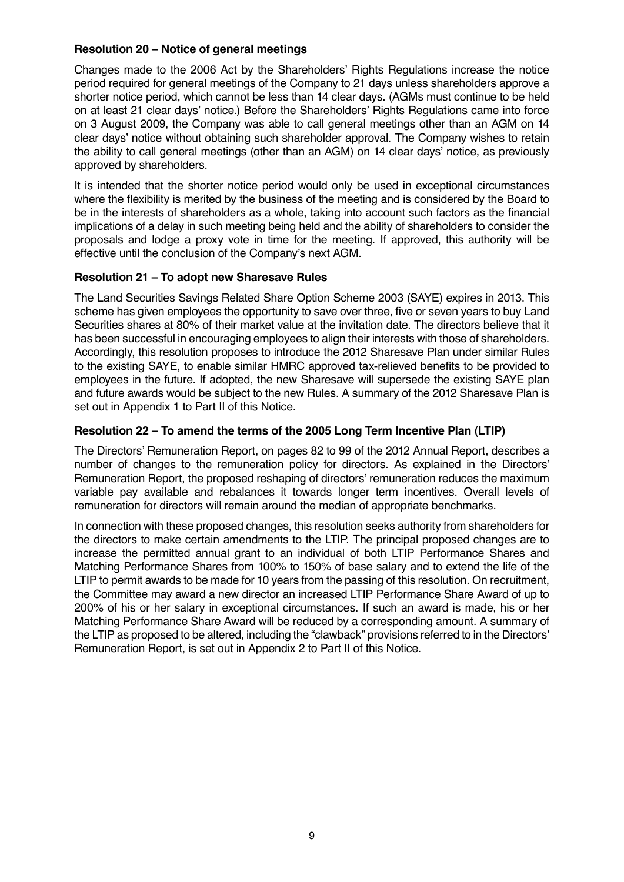## **Resolution 20 – Notice of general meetings**

Changes made to the 2006 Act by the Shareholders' Rights Regulations increase the notice period required for general meetings of the Company to 21 days unless shareholders approve a shorter notice period, which cannot be less than 14 clear days. (AGMs must continue to be held on at least 21 clear days' notice.) Before the Shareholders' Rights Regulations came into force on 3 August 2009, the Company was able to call general meetings other than an AGM on 14 clear days' notice without obtaining such shareholder approval. The Company wishes to retain the ability to call general meetings (other than an AGM) on 14 clear days' notice, as previously approved by shareholders.

It is intended that the shorter notice period would only be used in exceptional circumstances where the flexibility is merited by the business of the meeting and is considered by the Board to be in the interests of shareholders as a whole, taking into account such factors as the financial implications of a delay in such meeting being held and the ability of shareholders to consider the proposals and lodge a proxy vote in time for the meeting. If approved, this authority will be effective until the conclusion of the Company's next AGM.

#### **Resolution 21 – To adopt new Sharesave Rules**

The Land Securities Savings Related Share Option Scheme 2003 (SAYE) expires in 2013. This scheme has given employees the opportunity to save over three, five or seven years to buy Land Securities shares at 80% of their market value at the invitation date. The directors believe that it has been successful in encouraging employees to align their interests with those of shareholders. Accordingly, this resolution proposes to introduce the 2012 Sharesave Plan under similar Rules to the existing SAYE, to enable similar HMRC approved tax-relieved benefits to be provided to employees in the future. If adopted, the new Sharesave will supersede the existing SAYE plan and future awards would be subject to the new Rules. A summary of the 2012 Sharesave Plan is set out in Appendix 1 to Part II of this Notice.

## **Resolution 22 – To amend the terms of the 2005 Long Term Incentive Plan (LTIP)**

The Directors' Remuneration Report, on pages 82 to 99 of the 2012 Annual Report, describes a number of changes to the remuneration policy for directors. As explained in the Directors' Remuneration Report, the proposed reshaping of directors' remuneration reduces the maximum variable pay available and rebalances it towards longer term incentives. Overall levels of remuneration for directors will remain around the median of appropriate benchmarks.

In connection with these proposed changes, this resolution seeks authority from shareholders for the directors to make certain amendments to the LTIP. The principal proposed changes are to increase the permitted annual grant to an individual of both LTIP Performance Shares and Matching Performance Shares from 100% to 150% of base salary and to extend the life of the LTIP to permit awards to be made for 10 years from the passing of this resolution. On recruitment, the Committee may award a new director an increased LTIP Performance Share Award of up to 200% of his or her salary in exceptional circumstances. If such an award is made, his or her Matching Performance Share Award will be reduced by a corresponding amount. A summary of the LTIP as proposed to be altered, including the "clawback" provisions referred to in the Directors' Remuneration Report, is set out in Appendix 2 to Part II of this Notice.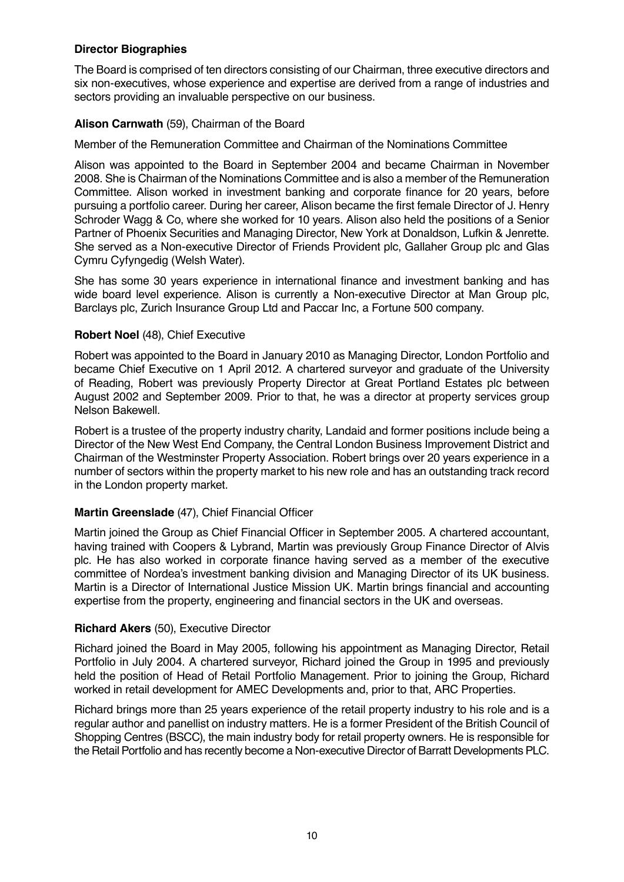## **Director Biographies**

The Board is comprised of ten directors consisting of our Chairman, three executive directors and six non-executives, whose experience and expertise are derived from a range of industries and sectors providing an invaluable perspective on our business.

## **Alison Carnwath** (59), Chairman of the Board

Member of the Remuneration Committee and Chairman of the Nominations Committee

Alison was appointed to the Board in September 2004 and became Chairman in November 2008. She is Chairman of the Nominations Committee and is also a member of the Remuneration Committee. Alison worked in investment banking and corporate finance for 20 years, before pursuing a portfolio career. During her career, Alison became the first female Director of J. Henry Schroder Wagg & Co, where she worked for 10 years. Alison also held the positions of a Senior Partner of Phoenix Securities and Managing Director, New York at Donaldson, Lufkin & Jenrette. She served as a Non-executive Director of Friends Provident plc, Gallaher Group plc and Glas Cymru Cyfyngedig (Welsh Water).

She has some 30 years experience in international finance and investment banking and has wide board level experience. Alison is currently a Non-executive Director at Man Group plc, Barclays plc, Zurich Insurance Group Ltd and Paccar Inc, a Fortune 500 company.

#### **Robert Noel** (48), Chief Executive

Robert was appointed to the Board in January 2010 as Managing Director, London Portfolio and became Chief Executive on 1 April 2012. A chartered surveyor and graduate of the University of Reading, Robert was previously Property Director at Great Portland Estates plc between August 2002 and September 2009. Prior to that, he was a director at property services group Nelson Bakewell.

Robert is a trustee of the property industry charity, Landaid and former positions include being a Director of the New West End Company, the Central London Business Improvement District and Chairman of the Westminster Property Association. Robert brings over 20 years experience in a number of sectors within the property market to his new role and has an outstanding track record in the London property market.

#### **Martin Greenslade** (47), Chief Financial Officer

Martin joined the Group as Chief Financial Officer in September 2005. A chartered accountant, having trained with Coopers & Lybrand, Martin was previously Group Finance Director of Alvis plc. He has also worked in corporate finance having served as a member of the executive committee of Nordea's investment banking division and Managing Director of its UK business. Martin is a Director of International Justice Mission UK. Martin brings financial and accounting expertise from the property, engineering and financial sectors in the UK and overseas.

#### **Richard Akers** (50), Executive Director

Richard joined the Board in May 2005, following his appointment as Managing Director, Retail Portfolio in July 2004. A chartered surveyor, Richard joined the Group in 1995 and previously held the position of Head of Retail Portfolio Management. Prior to joining the Group, Richard worked in retail development for AMEC Developments and, prior to that, ARC Properties.

Richard brings more than 25 years experience of the retail property industry to his role and is a regular author and panellist on industry matters. He is a former President of the British Council of Shopping Centres (BSCC), the main industry body for retail property owners. He is responsible for the Retail Portfolio and has recently become a Non-executive Director of Barratt Developments PLC.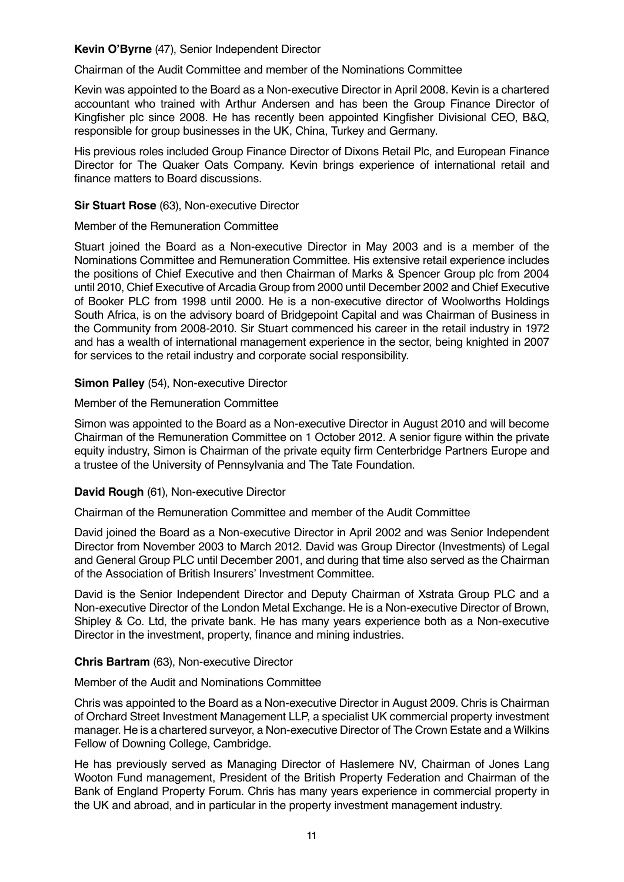## **Kevin O'Byrne** (47), Senior Independent Director

Chairman of the Audit Committee and member of the Nominations Committee

Kevin was appointed to the Board as a Non-executive Director in April 2008. Kevin is a chartered accountant who trained with Arthur Andersen and has been the Group Finance Director of Kingfisher plc since 2008. He has recently been appointed Kingfisher Divisional CEO, B&Q, responsible for group businesses in the UK, China, Turkey and Germany.

His previous roles included Group Finance Director of Dixons Retail Plc, and European Finance Director for The Quaker Oats Company. Kevin brings experience of international retail and finance matters to Board discussions.

#### **Sir Stuart Rose** (63), Non-executive Director

#### Member of the Remuneration Committee

Stuart joined the Board as a Non-executive Director in May 2003 and is a member of the Nominations Committee and Remuneration Committee. His extensive retail experience includes the positions of Chief Executive and then Chairman of Marks & Spencer Group plc from 2004 until 2010, Chief Executive of Arcadia Group from 2000 until December 2002 and Chief Executive of Booker PLC from 1998 until 2000. He is a non-executive director of Woolworths Holdings South Africa, is on the advisory board of Bridgepoint Capital and was Chairman of Business in the Community from 2008-2010. Sir Stuart commenced his career in the retail industry in 1972 and has a wealth of international management experience in the sector, being knighted in 2007 for services to the retail industry and corporate social responsibility.

#### **Simon Palley** (54), Non-executive Director

#### Member of the Remuneration Committee

Simon was appointed to the Board as a Non-executive Director in August 2010 and will become Chairman of the Remuneration Committee on 1 October 2012. A senior figure within the private equity industry, Simon is Chairman of the private equity firm Centerbridge Partners Europe and a trustee of the University of Pennsylvania and The Tate Foundation.

#### **David Rough** (61), Non-executive Director

Chairman of the Remuneration Committee and member of the Audit Committee

David joined the Board as a Non-executive Director in April 2002 and was Senior Independent Director from November 2003 to March 2012. David was Group Director (Investments) of Legal and General Group PLC until December 2001, and during that time also served as the Chairman of the Association of British Insurers' Investment Committee.

David is the Senior Independent Director and Deputy Chairman of Xstrata Group PLC and a Non-executive Director of the London Metal Exchange. He is a Non-executive Director of Brown, Shipley & Co. Ltd, the private bank. He has many years experience both as a Non-executive Director in the investment, property, finance and mining industries.

#### **Chris Bartram** (63), Non-executive Director

#### Member of the Audit and Nominations Committee

Chris was appointed to the Board as a Non-executive Director in August 2009. Chris is Chairman of Orchard Street Investment Management LLP, a specialist UK commercial property investment manager. He is a chartered surveyor, a Non-executive Director of The Crown Estate and a Wilkins Fellow of Downing College, Cambridge.

He has previously served as Managing Director of Haslemere NV, Chairman of Jones Lang Wooton Fund management, President of the British Property Federation and Chairman of the Bank of England Property Forum. Chris has many years experience in commercial property in the UK and abroad, and in particular in the property investment management industry.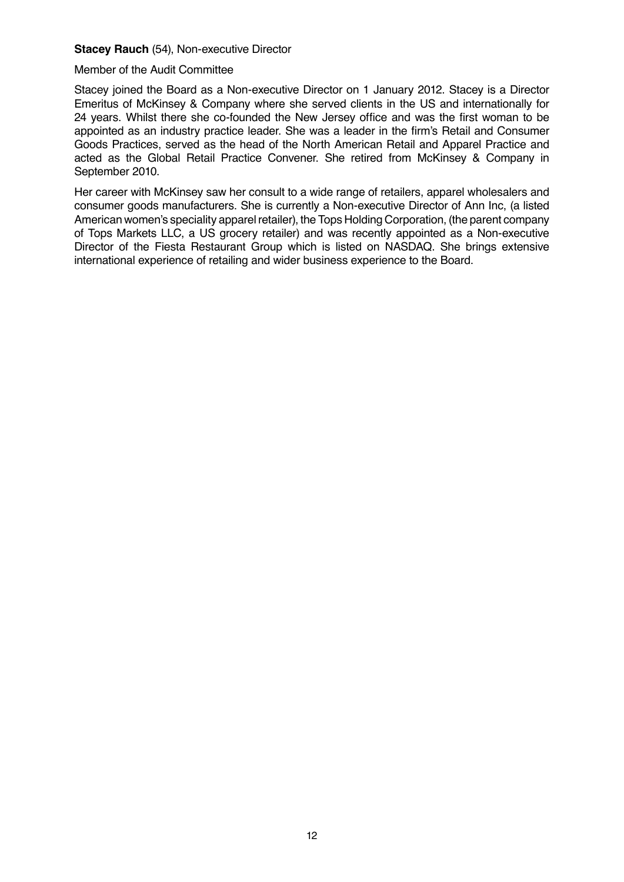#### **Stacey Rauch** (54), Non-executive Director

Member of the Audit Committee

Stacey joined the Board as a Non-executive Director on 1 January 2012. Stacey is a Director Emeritus of McKinsey & Company where she served clients in the US and internationally for 24 years. Whilst there she co-founded the New Jersey office and was the first woman to be appointed as an industry practice leader. She was a leader in the firm's Retail and Consumer Goods Practices, served as the head of the North American Retail and Apparel Practice and acted as the Global Retail Practice Convener. She retired from McKinsey & Company in September 2010.

Her career with McKinsey saw her consult to a wide range of retailers, apparel wholesalers and consumer goods manufacturers. She is currently a Non-executive Director of Ann Inc, (a listed American women's speciality apparel retailer), the Tops Holding Corporation, (the parent company of Tops Markets LLC, a US grocery retailer) and was recently appointed as a Non-executive Director of the Fiesta Restaurant Group which is listed on NASDAQ. She brings extensive international experience of retailing and wider business experience to the Board.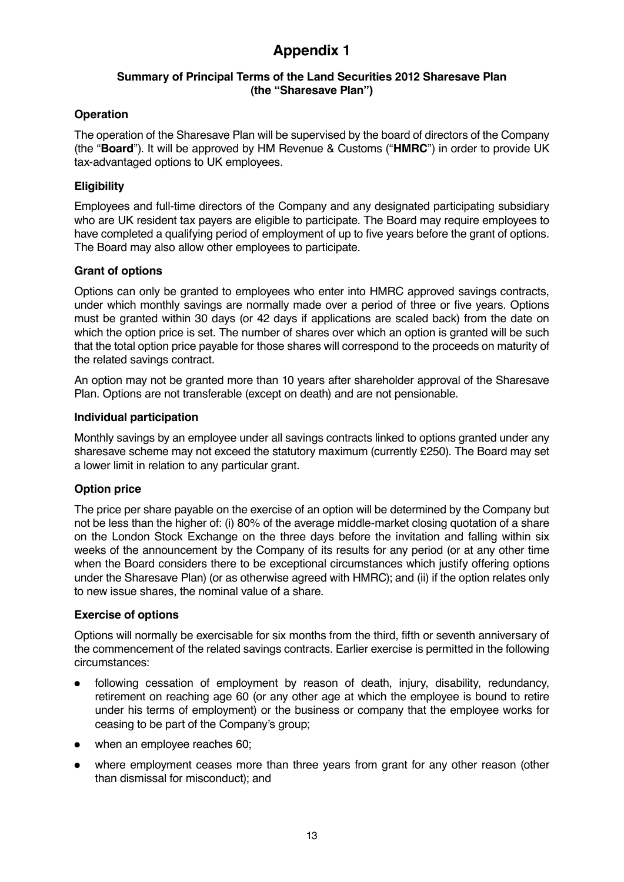# **Appendix 1**

## **Summary of Principal Terms of the Land Securities 2012 Sharesave Plan (the "Sharesave Plan")**

## **Operation**

The operation of the Sharesave Plan will be supervised by the board of directors of the Company (the "**Board**"). It will be approved by HM Revenue & Customs ("**HMRC**") in order to provide UK tax-advantaged options to UK employees.

## **Eligibility**

Employees and full-time directors of the Company and any designated participating subsidiary who are UK resident tax payers are eligible to participate. The Board may require employees to have completed a qualifying period of employment of up to five years before the grant of options. The Board may also allow other employees to participate.

## **Grant of options**

Options can only be granted to employees who enter into HMRC approved savings contracts, under which monthly savings are normally made over a period of three or five years. Options must be granted within 30 days (or 42 days if applications are scaled back) from the date on which the option price is set. The number of shares over which an option is granted will be such that the total option price payable for those shares will correspond to the proceeds on maturity of the related savings contract.

An option may not be granted more than 10 years after shareholder approval of the Sharesave Plan. Options are not transferable (except on death) and are not pensionable.

## **Individual participation**

Monthly savings by an employee under all savings contracts linked to options granted under any sharesave scheme may not exceed the statutory maximum (currently £250). The Board may set a lower limit in relation to any particular grant.

## **Option price**

The price per share payable on the exercise of an option will be determined by the Company but not be less than the higher of: (i) 80% of the average middle-market closing quotation of a share on the London Stock Exchange on the three days before the invitation and falling within six weeks of the announcement by the Company of its results for any period (or at any other time when the Board considers there to be exceptional circumstances which justify offering options under the Sharesave Plan) (or as otherwise agreed with HMRC); and (ii) if the option relates only to new issue shares, the nominal value of a share.

## **Exercise of options**

Options will normally be exercisable for six months from the third, fifth or seventh anniversary of the commencement of the related savings contracts. Earlier exercise is permitted in the following circumstances:

- following cessation of employment by reason of death, injury, disability, redundancy, retirement on reaching age 60 (or any other age at which the employee is bound to retire under his terms of employment) or the business or company that the employee works for ceasing to be part of the Company's group;
- when an employee reaches 60;
- where employment ceases more than three years from grant for any other reason (other than dismissal for misconduct); and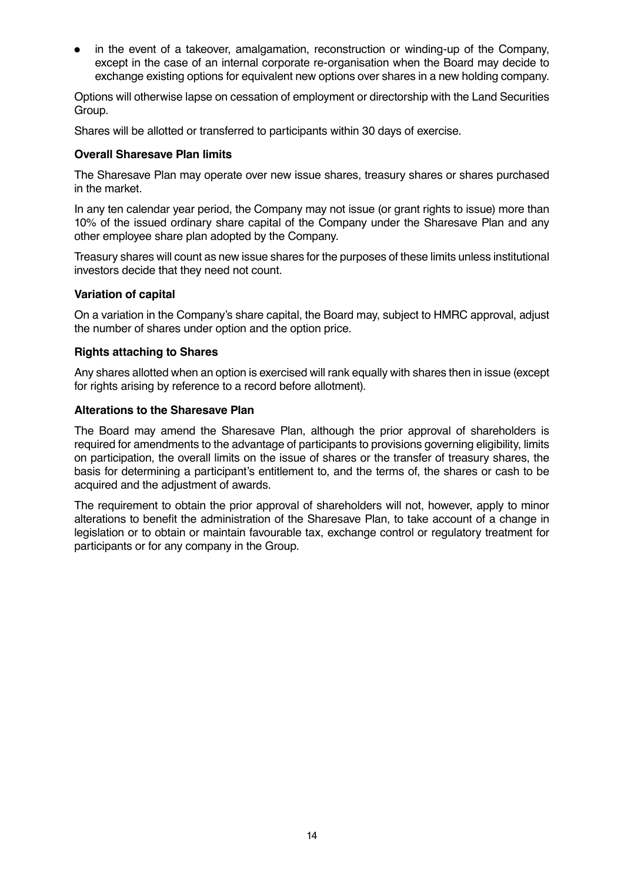in the event of a takeover, amalgamation, reconstruction or winding-up of the Company, except in the case of an internal corporate re-organisation when the Board may decide to exchange existing options for equivalent new options over shares in a new holding company.

Options will otherwise lapse on cessation of employment or directorship with the Land Securities Group.

Shares will be allotted or transferred to participants within 30 days of exercise.

#### **Overall Sharesave Plan limits**

The Sharesave Plan may operate over new issue shares, treasury shares or shares purchased in the market.

In any ten calendar year period, the Company may not issue (or grant rights to issue) more than 10% of the issued ordinary share capital of the Company under the Sharesave Plan and any other employee share plan adopted by the Company.

Treasury shares will count as new issue shares for the purposes of these limits unless institutional investors decide that they need not count.

#### **Variation of capital**

On a variation in the Company's share capital, the Board may, subject to HMRC approval, adjust the number of shares under option and the option price.

#### **Rights attaching to Shares**

Any shares allotted when an option is exercised will rank equally with shares then in issue (except for rights arising by reference to a record before allotment).

#### **Alterations to the Sharesave Plan**

The Board may amend the Sharesave Plan, although the prior approval of shareholders is required for amendments to the advantage of participants to provisions governing eligibility, limits on participation, the overall limits on the issue of shares or the transfer of treasury shares, the basis for determining a participant's entitlement to, and the terms of, the shares or cash to be acquired and the adjustment of awards.

The requirement to obtain the prior approval of shareholders will not, however, apply to minor alterations to benefit the administration of the Sharesave Plan, to take account of a change in legislation or to obtain or maintain favourable tax, exchange control or regulatory treatment for participants or for any company in the Group.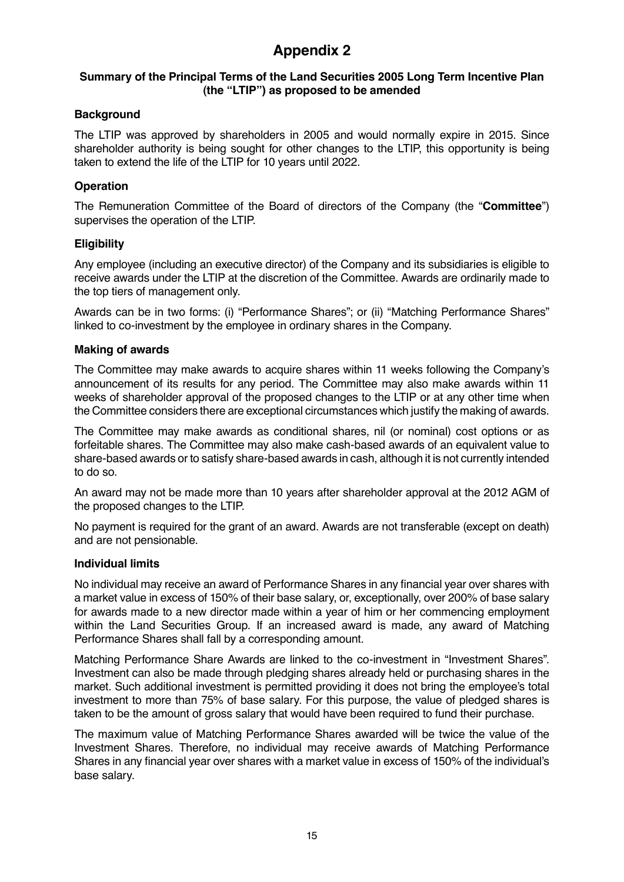# **Appendix 2**

## **Summary of the Principal Terms of the Land Securities 2005 Long Term Incentive Plan (the "LTIP") as proposed to be amended**

## **Background**

The LTIP was approved by shareholders in 2005 and would normally expire in 2015. Since shareholder authority is being sought for other changes to the LTIP, this opportunity is being taken to extend the life of the LTIP for 10 years until 2022.

## **Operation**

The Remuneration Committee of the Board of directors of the Company (the "**Committee**") supervises the operation of the LTIP.

## **Eligibility**

Any employee (including an executive director) of the Company and its subsidiaries is eligible to receive awards under the LTIP at the discretion of the Committee. Awards are ordinarily made to the top tiers of management only.

Awards can be in two forms: (i) "Performance Shares"; or (ii) "Matching Performance Shares" linked to co-investment by the employee in ordinary shares in the Company.

#### **Making of awards**

The Committee may make awards to acquire shares within 11 weeks following the Company's announcement of its results for any period. The Committee may also make awards within 11 weeks of shareholder approval of the proposed changes to the LTIP or at any other time when the Committee considers there are exceptional circumstances which justify the making of awards.

The Committee may make awards as conditional shares, nil (or nominal) cost options or as forfeitable shares. The Committee may also make cash-based awards of an equivalent value to share-based awards or to satisfy share-based awards in cash, although it is not currently intended to do so.

An award may not be made more than 10 years after shareholder approval at the 2012 AGM of the proposed changes to the LTIP.

No payment is required for the grant of an award. Awards are not transferable (except on death) and are not pensionable.

#### **Individual limits**

No individual may receive an award of Performance Shares in any financial year over shares with a market value in excess of 150% of their base salary, or, exceptionally, over 200% of base salary for awards made to a new director made within a year of him or her commencing employment within the Land Securities Group. If an increased award is made, any award of Matching Performance Shares shall fall by a corresponding amount.

Matching Performance Share Awards are linked to the co-investment in "Investment Shares". Investment can also be made through pledging shares already held or purchasing shares in the market. Such additional investment is permitted providing it does not bring the employee's total investment to more than 75% of base salary. For this purpose, the value of pledged shares is taken to be the amount of gross salary that would have been required to fund their purchase.

The maximum value of Matching Performance Shares awarded will be twice the value of the Investment Shares. Therefore, no individual may receive awards of Matching Performance Shares in any financial year over shares with a market value in excess of 150% of the individual's base salary.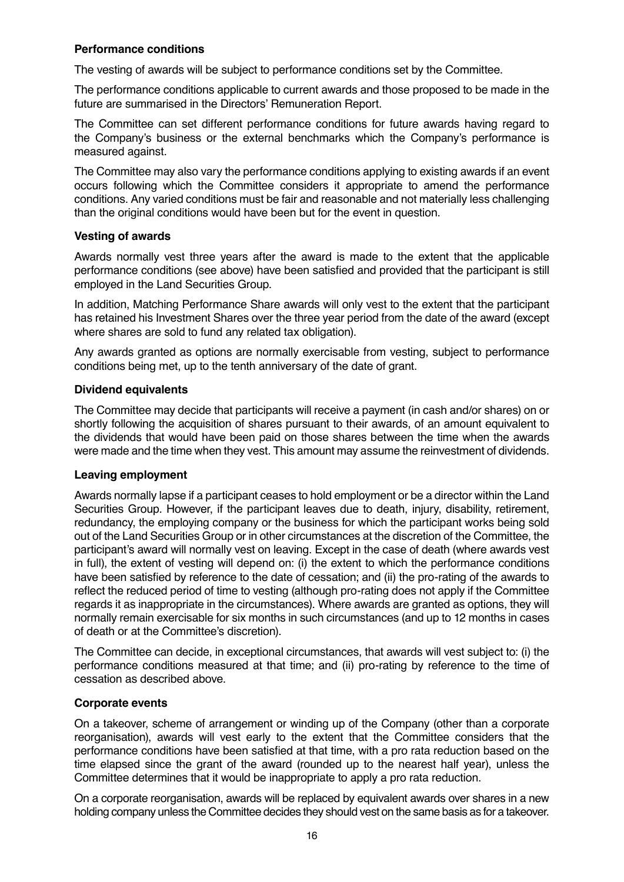## **Performance conditions**

The vesting of awards will be subject to performance conditions set by the Committee.

The performance conditions applicable to current awards and those proposed to be made in the future are summarised in the Directors' Remuneration Report.

The Committee can set different performance conditions for future awards having regard to the Company's business or the external benchmarks which the Company's performance is measured against.

The Committee may also vary the performance conditions applying to existing awards if an event occurs following which the Committee considers it appropriate to amend the performance conditions. Any varied conditions must be fair and reasonable and not materially less challenging than the original conditions would have been but for the event in question.

#### **Vesting of awards**

Awards normally vest three years after the award is made to the extent that the applicable performance conditions (see above) have been satisfied and provided that the participant is still employed in the Land Securities Group.

In addition, Matching Performance Share awards will only vest to the extent that the participant has retained his Investment Shares over the three year period from the date of the award (except where shares are sold to fund any related tax obligation).

Any awards granted as options are normally exercisable from vesting, subject to performance conditions being met, up to the tenth anniversary of the date of grant.

#### **Dividend equivalents**

The Committee may decide that participants will receive a payment (in cash and/or shares) on or shortly following the acquisition of shares pursuant to their awards, of an amount equivalent to the dividends that would have been paid on those shares between the time when the awards were made and the time when they vest. This amount may assume the reinvestment of dividends.

#### **Leaving employment**

Awards normally lapse if a participant ceases to hold employment or be a director within the Land Securities Group. However, if the participant leaves due to death, injury, disability, retirement, redundancy, the employing company or the business for which the participant works being sold out of the Land Securities Group or in other circumstances at the discretion of the Committee, the participant's award will normally vest on leaving. Except in the case of death (where awards vest in full), the extent of vesting will depend on: (i) the extent to which the performance conditions have been satisfied by reference to the date of cessation; and (ii) the pro-rating of the awards to reflect the reduced period of time to vesting (although pro-rating does not apply if the Committee regards it as inappropriate in the circumstances). Where awards are granted as options, they will normally remain exercisable for six months in such circumstances (and up to 12 months in cases of death or at the Committee's discretion).

The Committee can decide, in exceptional circumstances, that awards will vest subject to: (i) the performance conditions measured at that time; and (ii) pro-rating by reference to the time of cessation as described above.

#### **Corporate events**

On a takeover, scheme of arrangement or winding up of the Company (other than a corporate reorganisation), awards will vest early to the extent that the Committee considers that the performance conditions have been satisfied at that time, with a pro rata reduction based on the time elapsed since the grant of the award (rounded up to the nearest half year), unless the Committee determines that it would be inappropriate to apply a pro rata reduction.

On a corporate reorganisation, awards will be replaced by equivalent awards over shares in a new holding company unless the Committee decides they should vest on the same basis as for a takeover.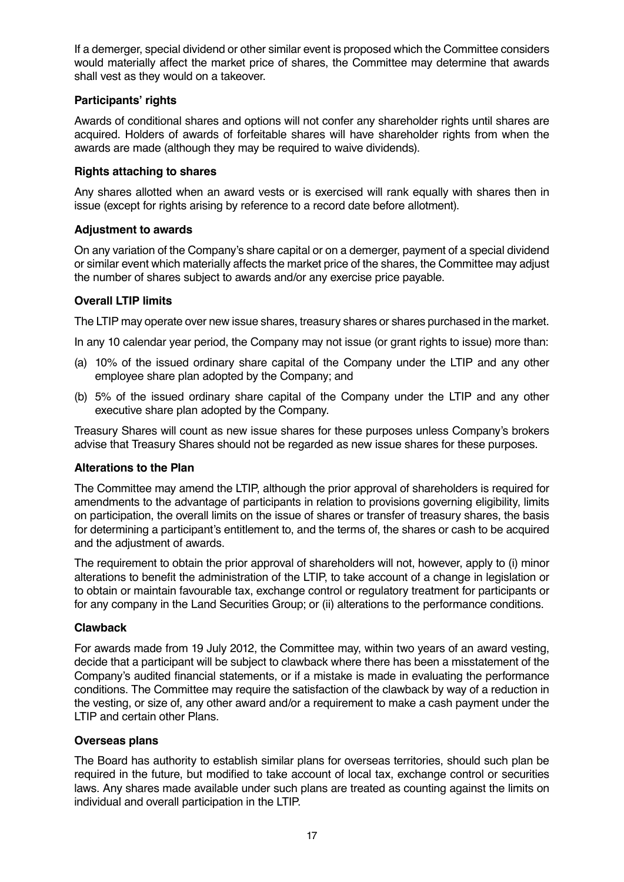If a demerger, special dividend or other similar event is proposed which the Committee considers would materially affect the market price of shares, the Committee may determine that awards shall vest as they would on a takeover.

## **Participants' rights**

Awards of conditional shares and options will not confer any shareholder rights until shares are acquired. Holders of awards of forfeitable shares will have shareholder rights from when the awards are made (although they may be required to waive dividends).

## **Rights attaching to shares**

Any shares allotted when an award vests or is exercised will rank equally with shares then in issue (except for rights arising by reference to a record date before allotment).

## **Adjustment to awards**

On any variation of the Company's share capital or on a demerger, payment of a special dividend or similar event which materially affects the market price of the shares, the Committee may adjust the number of shares subject to awards and/or any exercise price payable.

## **Overall LTIP limits**

The LTIP may operate over new issue shares, treasury shares or shares purchased in the market.

In any 10 calendar year period, the Company may not issue (or grant rights to issue) more than:

- (a) 10% of the issued ordinary share capital of the Company under the LTIP and any other employee share plan adopted by the Company; and
- (b) 5% of the issued ordinary share capital of the Company under the LTIP and any other executive share plan adopted by the Company.

Treasury Shares will count as new issue shares for these purposes unless Company's brokers advise that Treasury Shares should not be regarded as new issue shares for these purposes.

#### **Alterations to the Plan**

The Committee may amend the LTIP, although the prior approval of shareholders is required for amendments to the advantage of participants in relation to provisions governing eligibility, limits on participation, the overall limits on the issue of shares or transfer of treasury shares, the basis for determining a participant's entitlement to, and the terms of, the shares or cash to be acquired and the adjustment of awards.

The requirement to obtain the prior approval of shareholders will not, however, apply to (i) minor alterations to benefit the administration of the LTIP, to take account of a change in legislation or to obtain or maintain favourable tax, exchange control or regulatory treatment for participants or for any company in the Land Securities Group; or (ii) alterations to the performance conditions.

#### **Clawback**

For awards made from 19 July 2012, the Committee may, within two years of an award vesting, decide that a participant will be subject to clawback where there has been a misstatement of the Company's audited financial statements, or if a mistake is made in evaluating the performance conditions. The Committee may require the satisfaction of the clawback by way of a reduction in the vesting, or size of, any other award and/or a requirement to make a cash payment under the LTIP and certain other Plans.

#### **Overseas plans**

The Board has authority to establish similar plans for overseas territories, should such plan be required in the future, but modified to take account of local tax, exchange control or securities laws. Any shares made available under such plans are treated as counting against the limits on individual and overall participation in the LTIP.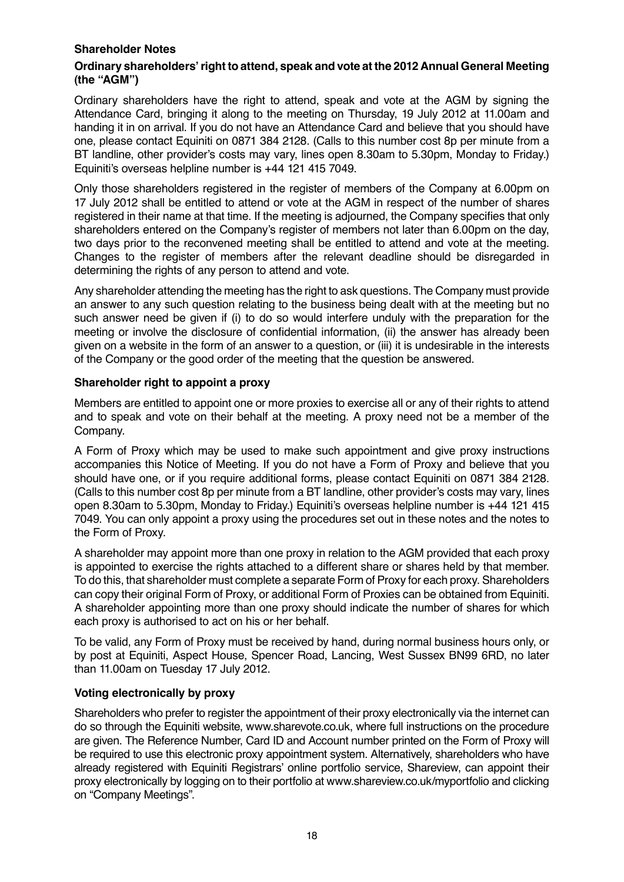## **Shareholder Notes**

## **Ordinary shareholders' right to attend, speak and vote at the 2012 Annual General Meeting (the "AGM")**

Ordinary shareholders have the right to attend, speak and vote at the AGM by signing the Attendance Card, bringing it along to the meeting on Thursday, 19 July 2012 at 11.00am and handing it in on arrival. If you do not have an Attendance Card and believe that you should have one, please contact Equiniti on 0871 384 2128. (Calls to this number cost 8p per minute from a BT landline, other provider's costs may vary, lines open 8.30am to 5.30pm, Monday to Friday.) Equiniti's overseas helpline number is +44 121 415 7049.

Only those shareholders registered in the register of members of the Company at 6.00pm on 17 July 2012 shall be entitled to attend or vote at the AGM in respect of the number of shares registered in their name at that time. If the meeting is adjourned, the Company specifies that only shareholders entered on the Company's register of members not later than 6.00pm on the day, two days prior to the reconvened meeting shall be entitled to attend and vote at the meeting. Changes to the register of members after the relevant deadline should be disregarded in determining the rights of any person to attend and vote.

Any shareholder attending the meeting has the right to ask questions. The Company must provide an answer to any such question relating to the business being dealt with at the meeting but no such answer need be given if (i) to do so would interfere unduly with the preparation for the meeting or involve the disclosure of confidential information, (ii) the answer has already been given on a website in the form of an answer to a question, or (iii) it is undesirable in the interests of the Company or the good order of the meeting that the question be answered.

#### **Shareholder right to appoint a proxy**

Members are entitled to appoint one or more proxies to exercise all or any of their rights to attend and to speak and vote on their behalf at the meeting. A proxy need not be a member of the Company.

A Form of Proxy which may be used to make such appointment and give proxy instructions accompanies this Notice of Meeting. If you do not have a Form of Proxy and believe that you should have one, or if you require additional forms, please contact Equiniti on 0871 384 2128. (Calls to this number cost 8p per minute from a BT landline, other provider's costs may vary, lines open 8.30am to 5.30pm, Monday to Friday.) Equiniti's overseas helpline number is +44 121 415 7049. You can only appoint a proxy using the procedures set out in these notes and the notes to the Form of Proxy.

A shareholder may appoint more than one proxy in relation to the AGM provided that each proxy is appointed to exercise the rights attached to a different share or shares held by that member. To do this, that shareholder must complete a separate Form of Proxy for each proxy. Shareholders can copy their original Form of Proxy, or additional Form of Proxies can be obtained from Equiniti. A shareholder appointing more than one proxy should indicate the number of shares for which each proxy is authorised to act on his or her behalf.

To be valid, any Form of Proxy must be received by hand, during normal business hours only, or by post at Equiniti, Aspect House, Spencer Road, Lancing, West Sussex BN99 6RD, no later than 11.00am on Tuesday 17 July 2012.

## **Voting electronically by proxy**

Shareholders who prefer to register the appointment of their proxy electronically via the internet can do so through the Equiniti website, www.sharevote.co.uk, where full instructions on the procedure are given. The Reference Number, Card ID and Account number printed on the Form of Proxy will be required to use this electronic proxy appointment system. Alternatively, shareholders who have already registered with Equiniti Registrars' online portfolio service, Shareview, can appoint their proxy electronically by logging on to their portfolio at www.shareview.co.uk/myportfolio and clicking on "Company Meetings".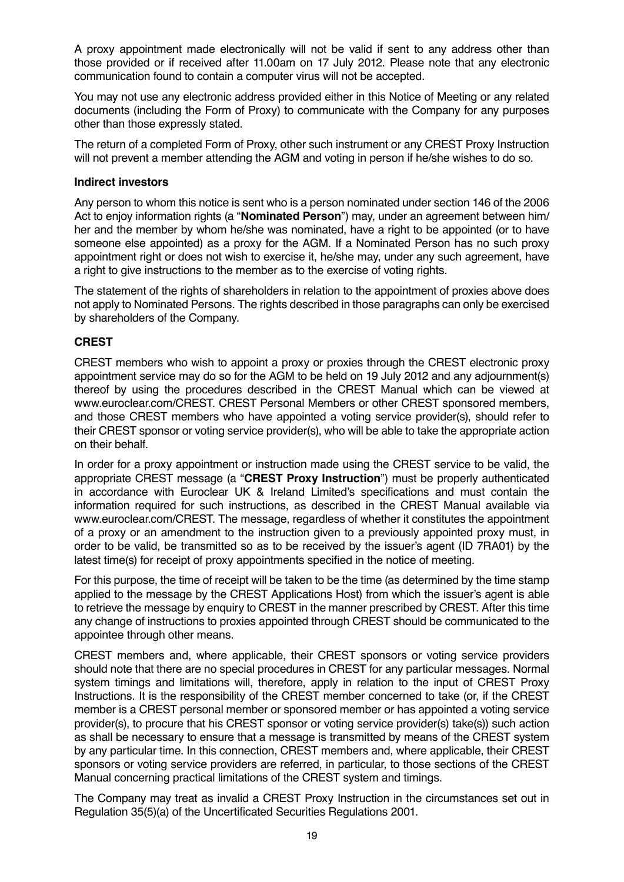A proxy appointment made electronically will not be valid if sent to any address other than those provided or if received after 11.00am on 17 July 2012. Please note that any electronic communication found to contain a computer virus will not be accepted.

You may not use any electronic address provided either in this Notice of Meeting or any related documents (including the Form of Proxy) to communicate with the Company for any purposes other than those expressly stated.

The return of a completed Form of Proxy, other such instrument or any CREST Proxy Instruction will not prevent a member attending the AGM and voting in person if he/she wishes to do so.

#### **Indirect investors**

Any person to whom this notice is sent who is a person nominated under section 146 of the 2006 Act to enjoy information rights (a "**Nominated Person**") may, under an agreement between him/ her and the member by whom he/she was nominated, have a right to be appointed (or to have someone else appointed) as a proxy for the AGM. If a Nominated Person has no such proxy appointment right or does not wish to exercise it, he/she may, under any such agreement, have a right to give instructions to the member as to the exercise of voting rights.

The statement of the rights of shareholders in relation to the appointment of proxies above does not apply to Nominated Persons. The rights described in those paragraphs can only be exercised by shareholders of the Company.

## **CREST**

CREST members who wish to appoint a proxy or proxies through the CREST electronic proxy appointment service may do so for the AGM to be held on 19 July 2012 and any adjournment(s) thereof by using the procedures described in the CREST Manual which can be viewed at www.euroclear.com/CREST. CREST Personal Members or other CREST sponsored members, and those CREST members who have appointed a voting service provider(s), should refer to their CREST sponsor or voting service provider(s), who will be able to take the appropriate action on their behalf.

In order for a proxy appointment or instruction made using the CREST service to be valid, the appropriate CREST message (a "**CREST Proxy Instruction**") must be properly authenticated in accordance with Euroclear UK & Ireland Limited's specifications and must contain the information required for such instructions, as described in the CREST Manual available via www.euroclear.com/CREST. The message, regardless of whether it constitutes the appointment of a proxy or an amendment to the instruction given to a previously appointed proxy must, in order to be valid, be transmitted so as to be received by the issuer's agent (ID 7RA01) by the latest time(s) for receipt of proxy appointments specified in the notice of meeting.

For this purpose, the time of receipt will be taken to be the time (as determined by the time stamp applied to the message by the CREST Applications Host) from which the issuer's agent is able to retrieve the message by enquiry to CREST in the manner prescribed by CREST. After this time any change of instructions to proxies appointed through CREST should be communicated to the appointee through other means.

CREST members and, where applicable, their CREST sponsors or voting service providers should note that there are no special procedures in CREST for any particular messages. Normal system timings and limitations will, therefore, apply in relation to the input of CREST Proxy Instructions. It is the responsibility of the CREST member concerned to take (or, if the CREST member is a CREST personal member or sponsored member or has appointed a voting service provider(s), to procure that his CREST sponsor or voting service provider(s) take(s)) such action as shall be necessary to ensure that a message is transmitted by means of the CREST system by any particular time. In this connection, CREST members and, where applicable, their CREST sponsors or voting service providers are referred, in particular, to those sections of the CREST Manual concerning practical limitations of the CREST system and timings.

The Company may treat as invalid a CREST Proxy Instruction in the circumstances set out in Regulation 35(5)(a) of the Uncertificated Securities Regulations 2001.